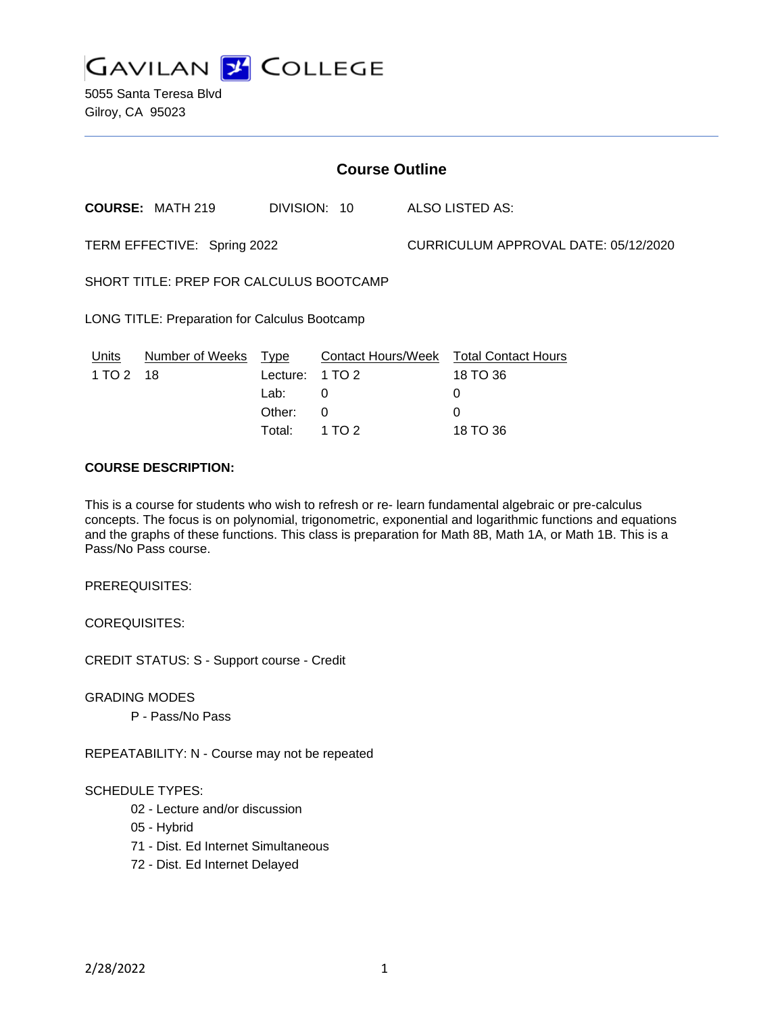

5055 Santa Teresa Blvd Gilroy, CA 95023

| <b>Course Outline</b>                         |                         |          |              |                                      |                                        |
|-----------------------------------------------|-------------------------|----------|--------------|--------------------------------------|----------------------------------------|
|                                               | <b>COURSE: MATH 219</b> |          | DIVISION: 10 |                                      | ALSO LISTED AS:                        |
| TERM EFFECTIVE: Spring 2022                   |                         |          |              | CURRICULUM APPROVAL DATE: 05/12/2020 |                                        |
| SHORT TITLE: PREP FOR CALCULUS BOOTCAMP       |                         |          |              |                                      |                                        |
| LONG TITLE: Preparation for Calculus Bootcamp |                         |          |              |                                      |                                        |
| Units                                         | Number of Weeks         | Type     |              |                                      | Contact Hours/Week Total Contact Hours |
| 1 TO 2                                        | 18                      | Lecture: | 1 TO 2       |                                      | 18 TO 36                               |
|                                               |                         | Lab:     | 0            |                                      | 0                                      |
|                                               |                         | Other:   | 0            |                                      | 0                                      |
|                                               |                         | Total:   | 1 TO 2       |                                      | 18 TO 36                               |

### **COURSE DESCRIPTION:**

This is a course for students who wish to refresh or re- learn fundamental algebraic or pre-calculus concepts. The focus is on polynomial, trigonometric, exponential and logarithmic functions and equations and the graphs of these functions. This class is preparation for Math 8B, Math 1A, or Math 1B. This is a Pass/No Pass course.

PREREQUISITES:

COREQUISITES:

CREDIT STATUS: S - Support course - Credit

GRADING MODES

P - Pass/No Pass

REPEATABILITY: N - Course may not be repeated

#### SCHEDULE TYPES:

- 02 Lecture and/or discussion
- 05 Hybrid
- 71 Dist. Ed Internet Simultaneous
- 72 Dist. Ed Internet Delayed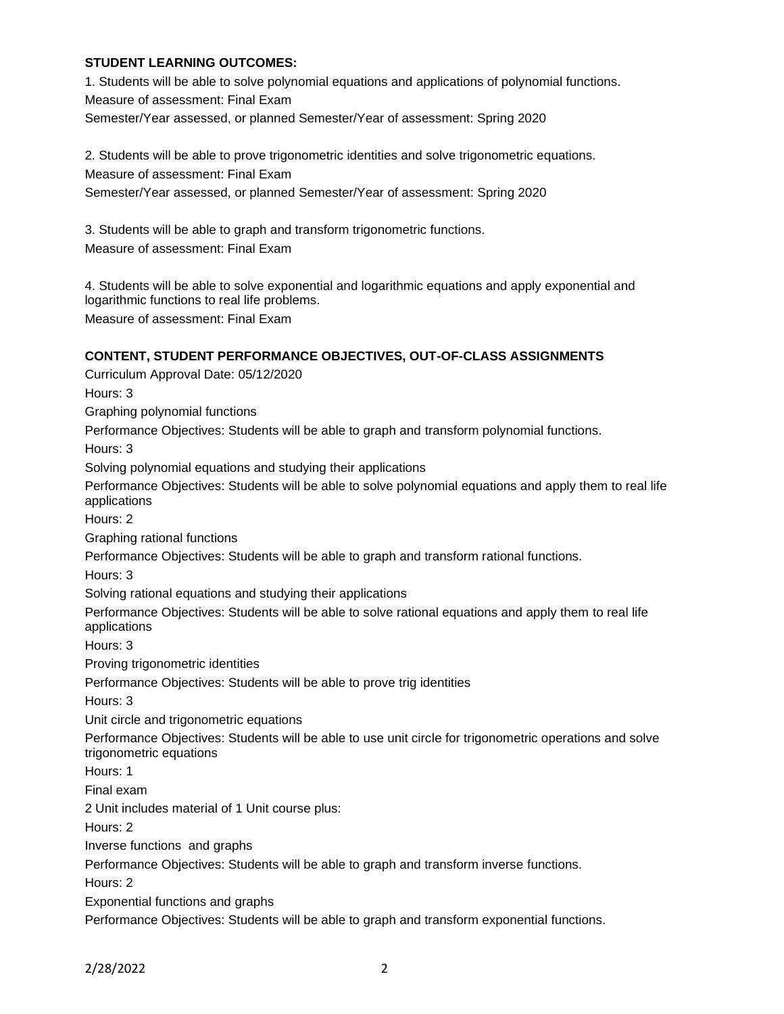### **STUDENT LEARNING OUTCOMES:**

1. Students will be able to solve polynomial equations and applications of polynomial functions. Measure of assessment: Final Exam Semester/Year assessed, or planned Semester/Year of assessment: Spring 2020

2. Students will be able to prove trigonometric identities and solve trigonometric equations. Measure of assessment: Final Exam Semester/Year assessed, or planned Semester/Year of assessment: Spring 2020

3. Students will be able to graph and transform trigonometric functions. Measure of assessment: Final Exam

4. Students will be able to solve exponential and logarithmic equations and apply exponential and logarithmic functions to real life problems. Measure of assessment: Final Exam

## **CONTENT, STUDENT PERFORMANCE OBJECTIVES, OUT-OF-CLASS ASSIGNMENTS**

Curriculum Approval Date: 05/12/2020 Hours: 3 Graphing polynomial functions Performance Objectives: Students will be able to graph and transform polynomial functions. Hours: 3 Solving polynomial equations and studying their applications Performance Objectives: Students will be able to solve polynomial equations and apply them to real life applications Hours: 2 Graphing rational functions Performance Objectives: Students will be able to graph and transform rational functions. Hours: 3 Solving rational equations and studying their applications Performance Objectives: Students will be able to solve rational equations and apply them to real life applications Hours: 3 Proving trigonometric identities Performance Objectives: Students will be able to prove trig identities Hours: 3 Unit circle and trigonometric equations Performance Objectives: Students will be able to use unit circle for trigonometric operations and solve trigonometric equations Hours: 1 Final exam 2 Unit includes material of 1 Unit course plus: Hours: 2 Inverse functions and graphs Performance Objectives: Students will be able to graph and transform inverse functions. Hours: 2 Exponential functions and graphs Performance Objectives: Students will be able to graph and transform exponential functions.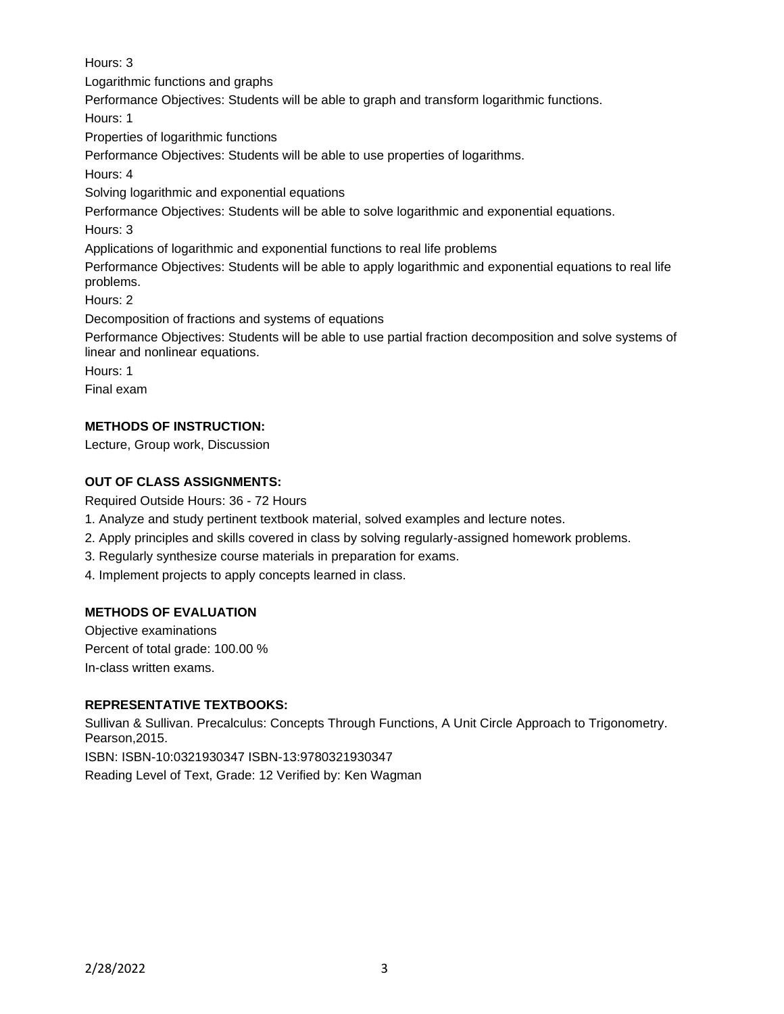Hours: 3

Logarithmic functions and graphs

Performance Objectives: Students will be able to graph and transform logarithmic functions.

Hours: 1

Properties of logarithmic functions

Performance Objectives: Students will be able to use properties of logarithms.

Hours: 4

Solving logarithmic and exponential equations

Performance Objectives: Students will be able to solve logarithmic and exponential equations.

Hours: 3

Applications of logarithmic and exponential functions to real life problems

Performance Objectives: Students will be able to apply logarithmic and exponential equations to real life problems.

Hours: 2

Decomposition of fractions and systems of equations

Performance Objectives: Students will be able to use partial fraction decomposition and solve systems of linear and nonlinear equations.

Hours: 1

Final exam

# **METHODS OF INSTRUCTION:**

Lecture, Group work, Discussion

# **OUT OF CLASS ASSIGNMENTS:**

Required Outside Hours: 36 - 72 Hours

- 1. Analyze and study pertinent textbook material, solved examples and lecture notes.
- 2. Apply principles and skills covered in class by solving regularly-assigned homework problems.
- 3. Regularly synthesize course materials in preparation for exams.
- 4. Implement projects to apply concepts learned in class.

## **METHODS OF EVALUATION**

Objective examinations Percent of total grade: 100.00 % In-class written exams.

## **REPRESENTATIVE TEXTBOOKS:**

Sullivan & Sullivan. Precalculus: Concepts Through Functions, A Unit Circle Approach to Trigonometry. Pearson,2015.

ISBN: ISBN-10:0321930347 ISBN-13:9780321930347

Reading Level of Text, Grade: 12 Verified by: Ken Wagman